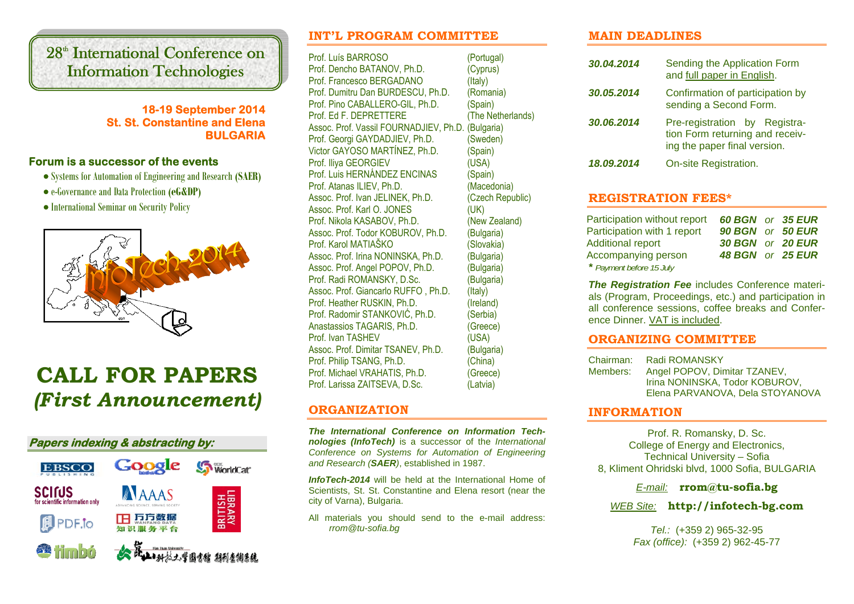# 28<sup>th</sup> International Conference on Information Technologies

## **18-19 September 2014 St. St. Constantine and Elena BULGARIA**

## **Forum is a successor of the events**

- Systems for Automation of Engineering and Research **(SAER)**
- e-Governance and Data Protection **(eG&DP)**
- International Seminar on Security Policy



# **CALL FOR PAPERS***(First Announcement)*



## **INT'L PROGRAM COMMITTEE**

Prof. Luís BARROSO (Portugal) Prof. Dencho BATANOV, Ph.D. (Cyprus) Prof. Francesco BERGADANO (Italy) Prof. Dumitru Dan BURDESCU, Ph.D. (Romania) Prof. Pino CABALLERO-GIL, Ph.D. (Spain) Prof. Ed F. DEPRETTERE (The Netherlands) Assoc. Prof. Vassil FOURNADJIEV, Ph.D. (Bulgaria) Prof. Georgi GAYDADJIEV, Ph.D. (Sweden) Victor GAYOSO MARTÍNEZ, Ph.D. (Spain) Prof. Iliya GEORGIEV (USA) Prof. Luis HERNÁNDEZ ENCINAS (Spain) Prof. Atanas ILIEV, Ph.D. (Macedonia) Assoc. Prof. Ivan JELINEK, Ph.D. (Czech Republic) Assoc. Prof. Karl O. JONES (UK) Prof. Nikola KASABOV, Ph.D. (New Zealand) Assoc. Prof. Todor KOBUROV, Ph.D. (Bulgaria) Prof. Karol MATIAŠKO (Slovakia) Assoc. Prof. Irina NONINSKA, Ph.D. (Bulgaria) Assoc. Prof. Angel POPOV, Ph.D. (Bulgaria) Prof. Radi ROMANSKY, D.Sc. (Bulgaria) Assoc. Prof. Giancarlo RUFFO, Ph.D. (Italy) Prof. Heather RUSKIN, Ph.D. (Ireland) Prof. Radomir STANKOVIĆ, Ph.D. (Serbia) Anastassios TAGARIS, Ph.D. (Greece) Prof. Ivan TASHEV (USA) Assoc. Prof. Dimitar TSANEV, Ph.D. (Bulgaria) Prof. Philip TSANG, Ph.D. (China) Prof. Michael VRAHATIS, Ph.D. (Greece) Prof. Larissa ZAITSEVA, D.Sc. (Latvia)

## **ORGANIZATION**

*The International Conference on Information Technologies (InfoTech)* is a successor of the *International Conference on Systems for Automation of Engineering and Research (SAER)*, established in 1987.

*InfoTech-2014* will be held at the International Home of Scientists, St. St. Constantine and Elena resort (near the city of Varna), Bulgaria.

All materials you should send to the e-mail address: *rrom@tu-sofia.bg*

## **MAIN DEADLINES**

| 30.04.2014 | Sending the Application Form<br>and full paper in English.                                       |  |
|------------|--------------------------------------------------------------------------------------------------|--|
| 30.05.2014 | Confirmation of participation by<br>sending a Second Form.                                       |  |
| 30.06.2014 | Pre-registration by Registra-<br>tion Form returning and receiv-<br>ing the paper final version. |  |
| 18.09.2014 | On-site Registration.                                                                            |  |

## **REGISTRATION FEES\***

| Participation without report | <b>60 BGN</b> or 35 EUR |  |
|------------------------------|-------------------------|--|
| Participation with 1 report  | 90 BGN or 50 EUR        |  |
| <b>Additional report</b>     | <b>30 BGN</b> or 20 EUR |  |
| Accompanying person          | <b>48 BGN or 25 EUR</b> |  |
| * Payment before 15 July     |                         |  |

*The Registration Fee* includes Conference materials (Program, Proceedings, etc.) and participation in all conference sessions, coffee breaks and Conference Dinner. VAT is included.

## **ORGANIZING COMMITTEE**

Chairman: Radi ROMANSKY Members: Angel POPOV, Dimitar TZANEV, Irina NONINSKA, Todor KOBUROV, Elena PARVANOVA, Dela STOYANOVA

## **INFORMATION**

Prof. R. Romansky, D. Sc. College of Energy and Electronics, Technical University – Sofia 8, Kliment Ohridski blvd, 1000 Sofia, BULGARIA

*E-mail:* **rrom@tu-sofia.bg**

*WEB Site:* **http://infotech-bg.com**

*Tel.:* (+359 2) 965-32-95 *Fax (office):* (+359 2) 962-45-77